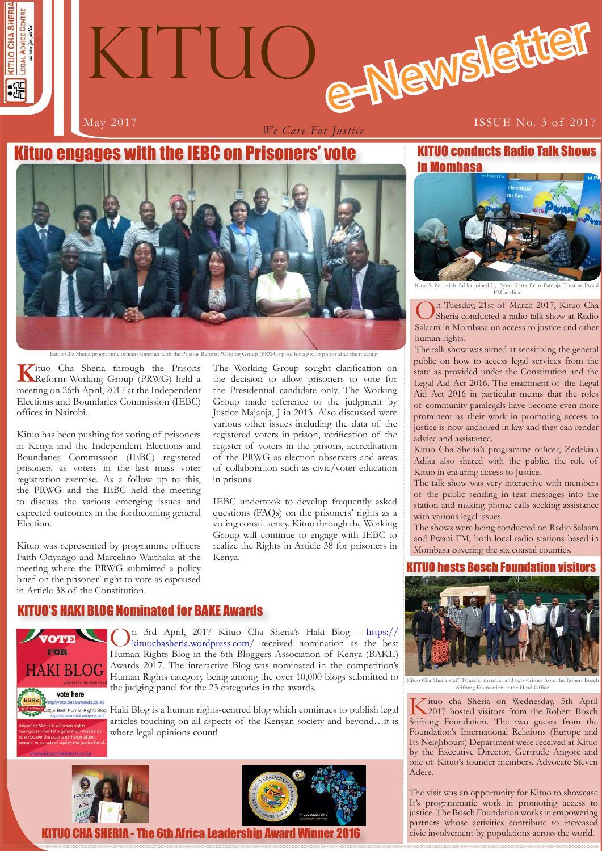

# e-Newslette KITUO

*We Care For Justice*

### May 2017 **ISSUE No. 3 of 2017**

# Kituo engages with the IEBC on Prisoners' vote



Kituo Cha Sheria programme officers together with the Prisons Reform Working Group (PRWG) pose for a group photo after the meeting

**K**ituo Cha Sheria through the Prisons<br>
Reform Working Group (PRWG) held a meeting on 26th April, 2017 at the Independent Elections and Boundaries Commission (IEBC) offices in Nairobi.

Kituo has been pushing for voting of prisoners in Kenya and the Independent Elections and Boundaries Commission (IEBC) registered prisoners as voters in the last mass voter registration exercise. As a follow up to this, the PRWG and the IEBC held the meeting to discuss the various emerging issues and expected outcomes in the forthcoming general Election.

Kituo was represented by programme officers Faith Onyango and Marcelino Waithaka at the meeting where the PRWG submitted a policy brief on the prisoner' right to vote as espoused in Article 38 of the Constitution.

The Working Group sought clarification on the decision to allow prisoners to vote for the Presidential candidate only. The Working Group made reference to the judgment by Justice Majanja, J in 2013. Also discussed were various other issues including the data of the registered voters in prison, verification of the register of voters in the prisons, accreditation of the PRWG as election observers and areas of collaboration such as civic/voter education in prisons.

IEBC undertook to develop frequently asked questions (FAQs) on the prisoners' rights as a voting constituency. Kituo through the Working Group will continue to engage with IEBC to realize the Rights in Article 38 for prisoners in Kenya.

# KITUO'S HAKI BLOG Nominated for BAKE Awards



On 3rd April, 2017 Kituo Cha Sheria's Haki Blog - https:// kituochasheria.wordpress.com/ received nomination as the best Human Rights Blog in the 6th Bloggers Association of Kenya (BAKE) Awards 2017. The interactive Blog was nominated in the competition's Human Rights category being among the over 10,000 blogs submitted to the judging panel for the 23 categories in the awards.

Haki Blog is a human rights-centred blog which continues to publish legal articles touching on all aspects of the Kenyan society and beyond…it is where legal opinions count!





KITUO CHA SHERIA - The 6th Africa Leadership Award Winner 2016

KITUO conducts Radio Talk Shows in Mombasa



ioined by Ayuo Ketta from Pamoja FM studios

On Tuesday, 21st of March 2017, Kituo Cha Sheria conducted a radio talk show at Radio Salaam in Mombasa on access to justice and other human rights.

The talk show was aimed at sensitizing the general public on how to access legal services from the state as provided under the Constitution and the Legal Aid Act 2016. The enactment of the Legal Aid Act 2016 in particular means that the roles of community paralegals have become even more prominent as their work in promoting access to justice is now anchored in law and they can render advice and assistance.

Kituo Cha Sheria's programme officer, Zedekiah Adika also shared with the public, the role of Kituo in ensuring access to Justice.

The talk show was very interactive with members of the public sending in text messages into the station and making phone calls seeking assistance with various legal issues.

The shows were being conducted on Radio Salaam and Pwani FM; both local radio stations based in Mombasa covering the six coastal counties.

# **TUO hosts Bosch Foundation visitors**



Kituo Cha Sheria staff, Founder member and two visitors from the Robert Bosch Stiftung Foundation at the Head Office

Kituo cha Sheria on Wednesday, 5th April 2017 hosted visitors from the Robert Bosch Stiftung Foundation. The two guests from the Foundation's International Relations (Europe and Its Neighbours) Department were received at Kituo by the Executive Director, Gertrude Angote and one of Kituo's founder members, Advocate Steven Adere.

**1 1** civic involvement by populations across the world. The visit was an opportunity for Kituo to showcase It's programmatic work in promoting access to justice. The Bosch Foundation works in empowering partners whose activities contribute to increased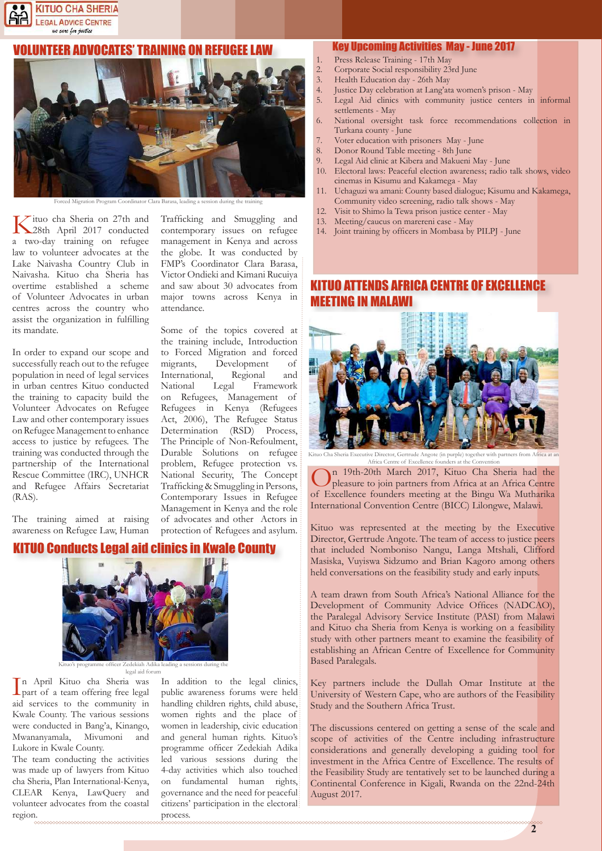

#### UNTEER ADVOCATES' TRAINING ON REFUGEE LAW



rced Migration Program Coordinator Clara Barasa, leading a session during the tr

attendance.

Trafficking and Smuggling and contemporary issues on refugee management in Kenya and across the globe. It was conducted by FMP's Coordinator Clara Barasa, Victor Ondieki and Kimani Rucuiya and saw about 30 advocates from major towns across Kenya in

Some of the topics covered at the training include, Introduction to Forced Migration and forced migrants, Development of International, Regional and National Legal Framework on Refugees, Management of Refugees in Kenya (Refugees Act, 2006), The Refugee Status Determination (RSD) Process, The Principle of Non-Refoulment, Durable Solutions on refugee problem, Refugee protection vs. National Security, The Concept Trafficking & Smuggling in Persons, Contemporary Issues in Refugee Management in Kenya and the role of advocates and other Actors in protection of Refugees and asylum.

Kituo cha Sheria on 27th and 28th April 2017 conducted a two-day training on refugee law to volunteer advocates at the Lake Naivasha Country Club in Naivasha. Kituo cha Sheria has overtime established a scheme of Volunteer Advocates in urban centres across the country who assist the organization in fulfilling its mandate.

In order to expand our scope and successfully reach out to the refugee population in need of legal services in urban centres Kituo conducted the training to capacity build the Volunteer Advocates on Refugee Law and other contemporary issues on Refugee Management to enhance access to justice by refugees. The training was conducted through the partnership of the International Rescue Committee (IRC), UNHCR and Refugee Affairs Secretariat (RAS).

The training aimed at raising awareness on Refugee Law, Human

#### KITUO Conducts Legal aid clinics in Kwale County



me officer Zedekiah Adika leading a sessions during the legal aid forum

In April Kituo cha Sheria was<br>part of a team offering free legal<br>aid services to the community in n April Kituo cha Sheria was part of a team offering free legal Kwale County. The various sessions were conducted in Bang'a, Kinango, Mwananyamala, Mivumoni and Lukore in Kwale County.

The team conducting the activities was made up of lawyers from Kituo cha Sheria, Plan International-Kenya, CLEAR Kenya, LawQuery and volunteer advocates from the coastal region.

In addition to the legal clinics, public awareness forums were held handling children rights, child abuse, women rights and the place of women in leadership, civic education and general human rights. Kituo's programme officer Zedekiah Adika led various sessions during the 4-day activities which also touched on fundamental human rights, governance and the need for peaceful citizens' participation in the electoral process.

#### Key Upcoming Activities May - June 2017

- Press Release Training 17th May
- 2. Corporate Social responsibility 23rd June
- 3. Health Education day 26th May
- 4. Justice Day celebration at Lang'ata women's prison May<br>5. Legal Aid clinics with community justice centers in
- Legal Aid clinics with community justice centers in informal settlements - May
- 6. National oversight task force recommendations collection in Turkana county - June
- 7. Voter education with prisoners May June<br>8. Donor Round Table meeting 8th June
- 8. Donor Round Table meeting 8th June
- 9. Legal Aid clinic at Kibera and Makueni May June<br>10 Electoral laws: Peaceful election awareness: radio 1
- 10. Electoral laws: Peaceful election awareness; radio talk shows, video cinemas in Kisumu and Kakamega - May
- 11. Uchaguzi wa amani: County based dialogue; Kisumu and Kakamega, Community video screening, radio talk shows - May
- 12. Visit to Shimo la Tewa prison justice center May
- 13. Meeting/caucus on marereni case May
- 14. Joint training by officers in Mombasa by PILPJ June

### **AFRICA CENTRE OF EXCELLENCE** MEETING IN MALAWI



Kituo Cha Sheria Executive Director, Gertrude Angote (in purple) together with partners from Africa at an Africa Centre of Excellence founders at the Convention

n 19th-20th March 2017, Kituo Cha Sheria had the pleasure to join partners from Africa at an Africa Centre of Excellence founders meeting at the Bingu Wa Mutharika International Convention Centre (BICC) Lilongwe, Malawi.

Kituo was represented at the meeting by the Executive Director, Gertrude Angote. The team of access to justice peers that included Nomboniso Nangu, Langa Mtshali, Clifford Masiska, Vuyiswa Sidzumo and Brian Kagoro among others held conversations on the feasibility study and early inputs.

A team drawn from South Africa's National Alliance for the Development of Community Advice Offices (NADCAO), the Paralegal Advisory Service Institute (PASI) from Malawi and Kituo cha Sheria from Kenya is working on a feasibility study with other partners meant to examine the feasibility of establishing an African Centre of Excellence for Community Based Paralegals.

Key partners include the Dullah Omar Institute at the University of Western Cape, who are authors of the Feasibility Study and the Southern Africa Trust.

The discussions centered on getting a sense of the scale and scope of activities of the Centre including infrastructure considerations and generally developing a guiding tool for investment in the Africa Centre of Excellence. The results of the Feasibility Study are tentatively set to be launched during a Continental Conference in Kigali, Rwanda on the 22nd-24th August 2017.

**2**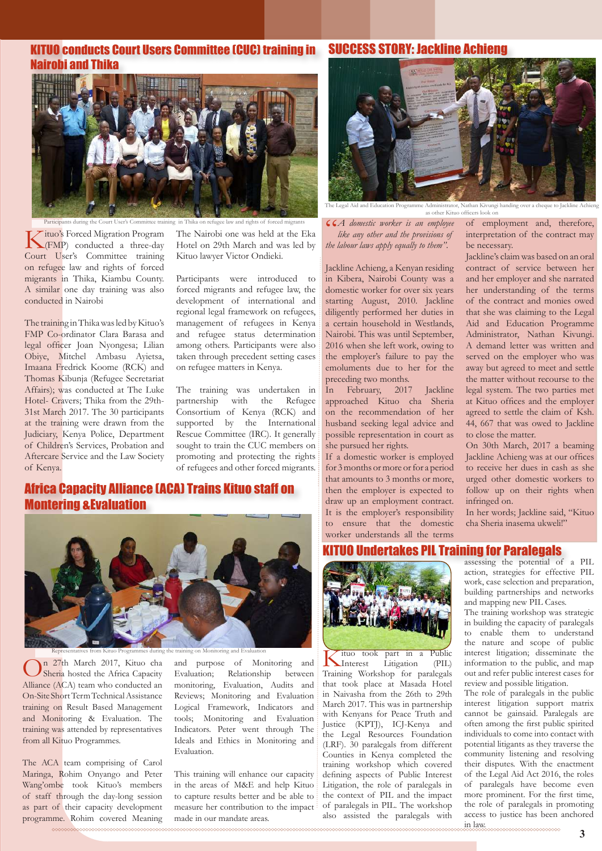# KITUO conducts Court Users Committee (CUC) training in SUCCESS STORY: Jackline Achieng Nairobi and Thika



Kituo's Forced Migration Program (FMP) conducted a three-day Court User's Committee training on refugee law and rights of forced migrants in Thika, Kiambu County. A similar one day training was also conducted in Nairobi

The training in Thika was led by Kituo's FMP Co-ordinator Clara Barasa and legal officer Joan Nyongesa; Lilian Obiye, Mitchel Ambasu Ayietsa, Imaana Fredrick Koome (RCK) and Thomas Kibunja (Refugee Secretariat Affairs); was conducted at The Luke Hotel- Cravers; Thika from the 29th-31st March 2017. The 30 participants at the training were drawn from the Judiciary, Kenya Police, Department of Children's Services, Probation and Aftercare Service and the Law Society of Kenya.

Hotel on 29th March and was led by Kituo lawyer Victor Ondieki.

Participants were introduced to forced migrants and refugee law, the development of international and regional legal framework on refugees, management of refugees in Kenya and refugee status determination among others. Participants were also taken through precedent setting cases on refugee matters in Kenya.

The training was undertaken in partnership with the Refugee Consortium of Kenya (RCK) and supported by the International Rescue Committee (IRC). It generally sought to train the CUC members on promoting and protecting the rights of refugees and other forced migrants.

# Africa Capacity Alliance (ACA) Trains Kituo staff on Montering &Evaluation



On 27th March 2017, Kituo cha Sheria hosted the Africa Capacity Alliance (ACA) team who conducted an On-Site Short Term Technical Assistance training on Result Based Management and Monitoring & Evaluation. The training was attended by representatives from all Kituo Programmes.

The ACA team comprising of Carol Maringa, Rohim Onyango and Peter Wang'ombe took Kituo's members of staff through the day-long session as part of their capacity development programme. Rohim covered Meaning

Evaluation; Relationship between monitoring, Evaluation, Audits and Reviews; Monitoring and Evaluation Logical Framework, Indicators and tools; Monitoring and Evaluation Indicators. Peter went through The Ideals and Ethics in Monitoring and Evaluation.

This training will enhance our capacity in the areas of M&E and help Kituo to capture results better and be able to measure her contribution to the impact made in our mandate areas.



The Legal Aid and Education Programme Administrator, Nathan Kivungi handing over a cheque to Jackline Achieng as other Kituo officers look on

Participants during the Court User's Committee training in Thika on refugee law and rights of forced migrants *A domestic worker is an employee ituo's* Forced Migration Program *The Nairobi one was held at the Eka li like any other and the provisions of the labour laws apply equally to them"*.

> Jackline Achieng, a Kenyan residing in Kibera, Nairobi County was a domestic worker for over six years starting August, 2010. Jackline diligently performed her duties in a certain household in Westlands, Nairobi. This was until September, 2016 when she left work, owing to the employer's failure to pay the emoluments due to her for the preceding two months.

> In February, 2017 Jackline approached Kituo cha Sheria on the recommendation of her husband seeking legal advice and possible representation in court as she pursued her rights.

> If a domestic worker is employed for 3 months or more or for a period that amounts to 3 months or more, then the employer is expected to draw up an employment contract. It is the employer's responsibility to ensure that the domestic worker understands all the terms

of employment and, therefore, interpretation of the contract may be necessary.

Jackline's claim was based on an oral contract of service between her and her employer and she narrated her understanding of the terms of the contract and monies owed that she was claiming to the Legal Aid and Education Programme Administrator, Nathan Kivungi. A demand letter was written and served on the employer who was away but agreed to meet and settle the matter without recourse to the legal system. The two parties met at Kituo offices and the employer agreed to settle the claim of Ksh. 44, 667 that was owed to Jackline to close the matter.

On 30th March, 2017 a beaming Jackline Achieng was at our offices to receive her dues in cash as she urged other domestic workers to follow up on their rights when infringed on.

In her words; Jackline said, "Kituo cha Sheria inasema ukweli!"

#### UO Undertakes PIL Training for Paralegals



Representatives from Kituo Programmes during the training on Monitoring and Evaluation<br>27th March 2017, Kituo cha and purpose of Monitoring and Kituo took part in a Public Interest Litigation (PIL) Training Workshop for paralegals that took place at Masada Hotel in Naivasha from the 26th to 29th March 2017. This was in partnership with Kenyans for Peace Truth and Justice (KPTJ), ICJ-Kenya and the Legal Resources Foundation (LRF). 30 paralegals from different Counties in Kenya completed the training workshop which covered defining aspects of Public Interest Litigation, the role of paralegals in the context of PIL and the impact of paralegals in PIL. The workshop also assisted the paralegals with

assessing the potential of a PIL action, strategies for effective PIL work, case selection and preparation, building partnerships and networks and mapping new PIL Cases.

The training workshop was strategic in building the capacity of paralegals to enable them to understand the nature and scope of public interest litigation; disseminate the information to the public, and map out and refer public interest cases for review and possible litigation.

The role of paralegals in the public interest litigation support matrix cannot be gainsaid. Paralegals are often among the first public spirited individuals to come into contact with potential litigants as they traverse the community listening and resolving their disputes. With the enactment of the Legal Aid Act 2016, the roles of paralegals have become even more prominent. For the first time, the role of paralegals in promoting access to justice has been anchored in law.